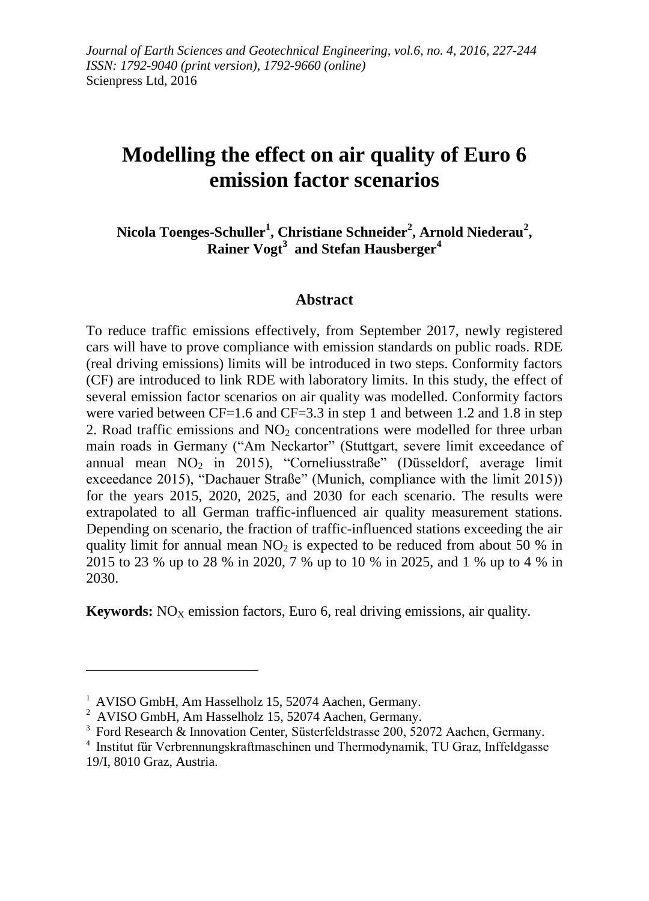# **Modelling the effect on air quality of Euro 6 emission factor scenarios**

**Nicola Toenges-Schuller<sup>1</sup> , Christiane Schneider<sup>2</sup> , Arnold Niederau<sup>2</sup> , Rainer Vogt<sup>3</sup> and Stefan Hausberger<sup>4</sup>**

#### **Abstract**

To reduce traffic emissions effectively, from September 2017, newly registered cars will have to prove compliance with emission standards on public roads. RDE (real driving emissions) limits will be introduced in two steps. Conformity factors (CF) are introduced to link RDE with laboratory limits. In this study, the effect of several emission factor scenarios on air quality was modelled. Conformity factors were varied between CF=1.6 and CF=3.3 in step 1 and between 1.2 and 1.8 in step 2. Road traffic emissions and  $NO<sub>2</sub>$  concentrations were modelled for three urban main roads in Germany ("Am Neckartor" (Stuttgart, severe limit exceedance of annual mean  $NO<sub>2</sub>$  in 2015), "Corneliusstraße" (Düsseldorf, average limit exceedance 2015), "Dachauer Straße" (Munich, compliance with the limit 2015)) for the years 2015, 2020, 2025, and 2030 for each scenario. The results were extrapolated to all German traffic-influenced air quality measurement stations. Depending on scenario, the fraction of traffic-influenced stations exceeding the air quality limit for annual mean  $NO<sub>2</sub>$  is expected to be reduced from about 50 % in 2015 to 23 % up to 28 % in 2020, 7 % up to 10 % in 2025, and 1 % up to 4 % in 2030.

**Keywords:**  $NO<sub>X</sub>$  emission factors, Euro 6, real driving emissions, air quality.

1

<sup>&</sup>lt;sup>1</sup> AVISO GmbH, Am Hasselholz 15, 52074 Aachen, Germany.

 $2$  AVISO GmbH, Am Hasselholz 15, 52074 Aachen, Germany.

<sup>&</sup>lt;sup>3</sup> Ford Research & Innovation Center, Süsterfeldstrasse 200, 52072 Aachen, Germany.

<sup>4</sup> Institut für Verbrennungskraftmaschinen und Thermodynamik, TU Graz, Inffeldgasse 19/I, 8010 Graz, Austria.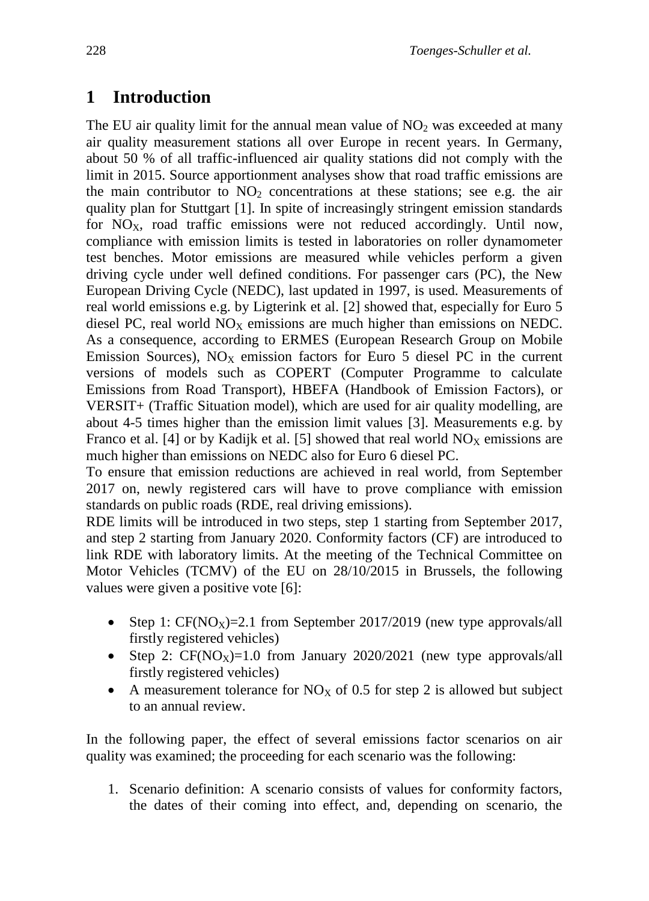# **1 Introduction**

The EU air quality limit for the annual mean value of  $NO<sub>2</sub>$  was exceeded at many air quality measurement stations all over Europe in recent years. In Germany, about 50 % of all traffic-influenced air quality stations did not comply with the limit in 2015. Source apportionment analyses show that road traffic emissions are the main contributor to  $NO<sub>2</sub>$  concentrations at these stations; see e.g. the air quality plan for Stuttgart [1]. In spite of increasingly stringent emission standards for  $NO<sub>x</sub>$ , road traffic emissions were not reduced accordingly. Until now, compliance with emission limits is tested in laboratories on roller dynamometer test benches. Motor emissions are measured while vehicles perform a given driving cycle under well defined conditions. For passenger cars (PC), the New European Driving Cycle (NEDC), last updated in 1997, is used. Measurements of real world emissions e.g. by Ligterink et al. [2] showed that, especially for Euro 5 diesel PC, real world  $NO<sub>X</sub>$  emissions are much higher than emissions on NEDC. As a consequence, according to ERMES (European Research Group on Mobile Emission Sources),  $N_{\text{O}_X}$  emission factors for Euro 5 diesel PC in the current versions of models such as COPERT (Computer Programme to calculate Emissions from Road Transport), HBEFA (Handbook of Emission Factors), or VERSIT+ (Traffic Situation model), which are used for air quality modelling, are about 4-5 times higher than the emission limit values [3]. Measurements e.g. by Franco et al. [4] or by Kadijk et al. [5] showed that real world  $NO<sub>X</sub>$  emissions are much higher than emissions on NEDC also for Euro 6 diesel PC.

To ensure that emission reductions are achieved in real world, from September 2017 on, newly registered cars will have to prove compliance with emission standards on public roads (RDE, real driving emissions).

RDE limits will be introduced in two steps, step 1 starting from September 2017, and step 2 starting from January 2020. Conformity factors (CF) are introduced to link RDE with laboratory limits. At the meeting of the Technical Committee on Motor Vehicles (TCMV) of the EU on 28/10/2015 in Brussels, the following values were given a positive vote [6]:

- Step 1:  $CF(NO_X)=2.1$  from September 2017/2019 (new type approvals/all firstly registered vehicles)
- Step 2:  $CF(NO_X)=1.0$  from January 2020/2021 (new type approvals/all firstly registered vehicles)
- A measurement tolerance for  $NO<sub>X</sub>$  of 0.5 for step 2 is allowed but subject to an annual review.

In the following paper, the effect of several emissions factor scenarios on air quality was examined; the proceeding for each scenario was the following:

1. Scenario definition: A scenario consists of values for conformity factors, the dates of their coming into effect, and, depending on scenario, the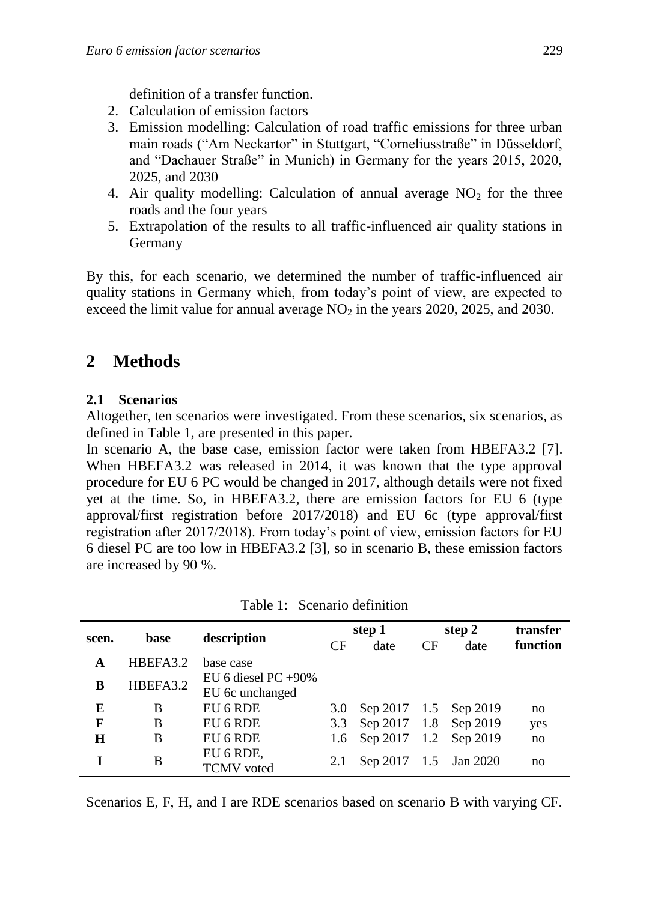definition of a transfer function.

- 2. Calculation of emission factors
- 3. Emission modelling: Calculation of road traffic emissions for three urban main roads ("Am Neckartor" in Stuttgart, "Corneliusstraße" in Düsseldorf, and "Dachauer Straße" in Munich) in Germany for the years 2015, 2020, 2025, and 2030
- 4. Air quality modelling: Calculation of annual average  $NO<sub>2</sub>$  for the three roads and the four years
- 5. Extrapolation of the results to all traffic-influenced air quality stations in Germany

By this, for each scenario, we determined the number of traffic-influenced air quality stations in Germany which, from today's point of view, are expected to exceed the limit value for annual average  $NO<sub>2</sub>$  in the years 2020, 2025, and 2030.

# **2 Methods**

### **2.1 Scenarios**

Altogether, ten scenarios were investigated. From these scenarios, six scenarios, as defined in [Table 1,](#page-2-0) are presented in this paper.

In scenario A, the base case, emission factor were taken from HBEFA3.2 [7]. When HBEFA3.2 was released in 2014, it was known that the type approval procedure for EU 6 PC would be changed in 2017, although details were not fixed yet at the time. So, in HBEFA3.2, there are emission factors for EU 6 (type approval/first registration before 2017/2018) and EU 6c (type approval/first registration after 2017/2018). From today's point of view, emission factors for EU 6 diesel PC are too low in HBEFA3.2 [3], so in scenario B, these emission factors are increased by 90 %.

<span id="page-2-0"></span>

| scen. | base     | description                               |     | step 1                    | step 2    |      | transfer |
|-------|----------|-------------------------------------------|-----|---------------------------|-----------|------|----------|
|       |          |                                           | CF  | date                      | <b>CF</b> | date | function |
| A     | HBEFA3.2 | base case                                 |     |                           |           |      |          |
| B     | HBEFA3.2 | EU 6 diesel PC $+90\%$<br>EU 6c unchanged |     |                           |           |      |          |
| E     | B        | EU 6 RDE                                  | 3.0 | Sep 2017 1.5 Sep 2019     |           |      | no       |
| F     | B        | EU 6 RDE                                  | 3.3 | Sep 2017 1.8 Sep 2019     |           |      | yes      |
| Н     | B        | EU 6 RDE                                  |     | 1.6 Sep 2017 1.2 Sep 2019 |           |      | no       |
|       | B        | EU 6 RDE,<br><b>TCMV</b> voted            | 2.1 | Sep 2017 1.5 Jan 2020     |           |      | no       |

Table 1: Scenario definition

Scenarios E, F, H, and I are RDE scenarios based on scenario B with varying CF.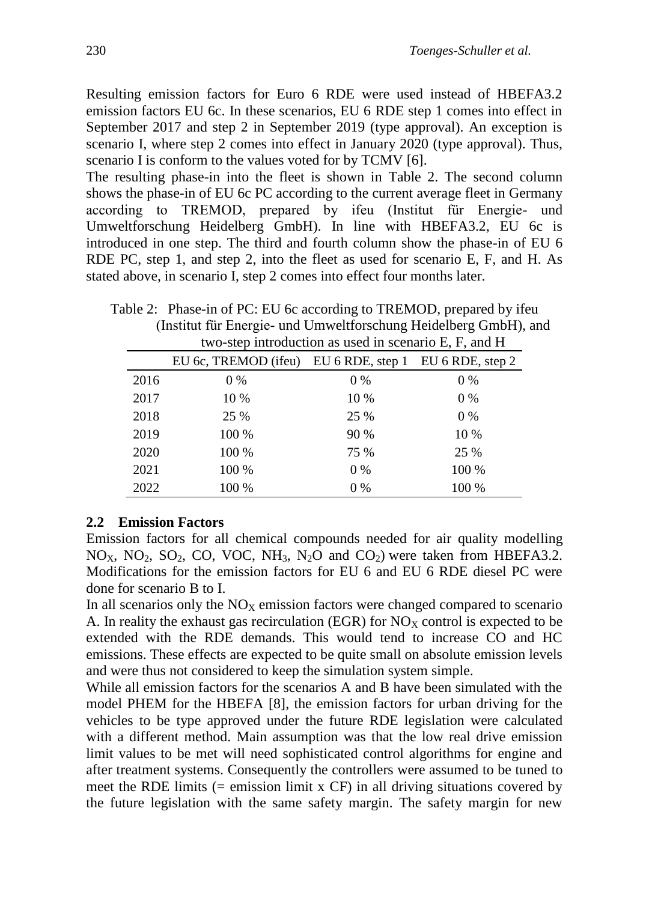Resulting emission factors for Euro 6 RDE were used instead of HBEFA3.2 emission factors EU 6c. In these scenarios, EU 6 RDE step 1 comes into effect in September 2017 and step 2 in September 2019 (type approval). An exception is scenario I, where step 2 comes into effect in January 2020 (type approval). Thus, scenario I is conform to the values voted for by TCMV [6].

The resulting phase-in into the fleet is shown in [Table 2.](#page-3-0) The second column shows the phase-in of EU 6c PC according to the current average fleet in Germany according to TREMOD, prepared by ifeu (Institut für Energie- und Umweltforschung Heidelberg GmbH). In line with HBEFA3.2, EU 6c is introduced in one step. The third and fourth column show the phase-in of EU 6 RDE PC, step 1, and step 2, into the fleet as used for scenario E, F, and H. As stated above, in scenario I, step 2 comes into effect four months later.

| two-step introduction as used in scenario E, F, and H |                                                        |       |       |  |  |  |  |
|-------------------------------------------------------|--------------------------------------------------------|-------|-------|--|--|--|--|
|                                                       | EU 6c, TREMOD (ifeu) EU 6 RDE, step 1 EU 6 RDE, step 2 |       |       |  |  |  |  |
| 2016                                                  | $0\%$                                                  | $0\%$ | $0\%$ |  |  |  |  |
| 2017                                                  | 10 %                                                   | 10 %  | $0\%$ |  |  |  |  |
| 2018                                                  | 25 %                                                   | 25 %  | $0\%$ |  |  |  |  |
| 2019                                                  | 100 %                                                  | 90 %  | 10 %  |  |  |  |  |
| 2020                                                  | 100 %                                                  | 75 %  | 25 %  |  |  |  |  |
| 2021                                                  | 100 %                                                  | $0\%$ | 100 % |  |  |  |  |
| 2022                                                  | 100 %                                                  | 0 %   | 100 % |  |  |  |  |

<span id="page-3-0"></span>Table 2: Phase-in of PC: EU 6c according to TREMOD, prepared by ifeu (Institut für Energie- und Umweltforschung Heidelberg GmbH), and

#### **2.2 Emission Factors**

Emission factors for all chemical compounds needed for air quality modelling  $NO<sub>X</sub>$ ,  $NO<sub>2</sub>$ ,  $SO<sub>2</sub>$ ,  $CO<sub>2</sub>$ ,  $VO<sub>C</sub>$ ,  $NH<sub>3</sub>$ ,  $N<sub>2</sub>O$  and  $CO<sub>2</sub>$ ) were taken from HBEFA3.2. Modifications for the emission factors for EU 6 and EU 6 RDE diesel PC were done for scenario B to I.

In all scenarios only the  $NO<sub>X</sub>$  emission factors were changed compared to scenario A. In reality the exhaust gas recirculation (EGR) for  $NO<sub>X</sub>$  control is expected to be extended with the RDE demands. This would tend to increase CO and HC emissions. These effects are expected to be quite small on absolute emission levels and were thus not considered to keep the simulation system simple.

While all emission factors for the scenarios A and B have been simulated with the model PHEM for the HBEFA [8], the emission factors for urban driving for the vehicles to be type approved under the future RDE legislation were calculated with a different method. Main assumption was that the low real drive emission limit values to be met will need sophisticated control algorithms for engine and after treatment systems. Consequently the controllers were assumed to be tuned to meet the RDE limits  $(=$  emission limit x CF) in all driving situations covered by the future legislation with the same safety margin. The safety margin for new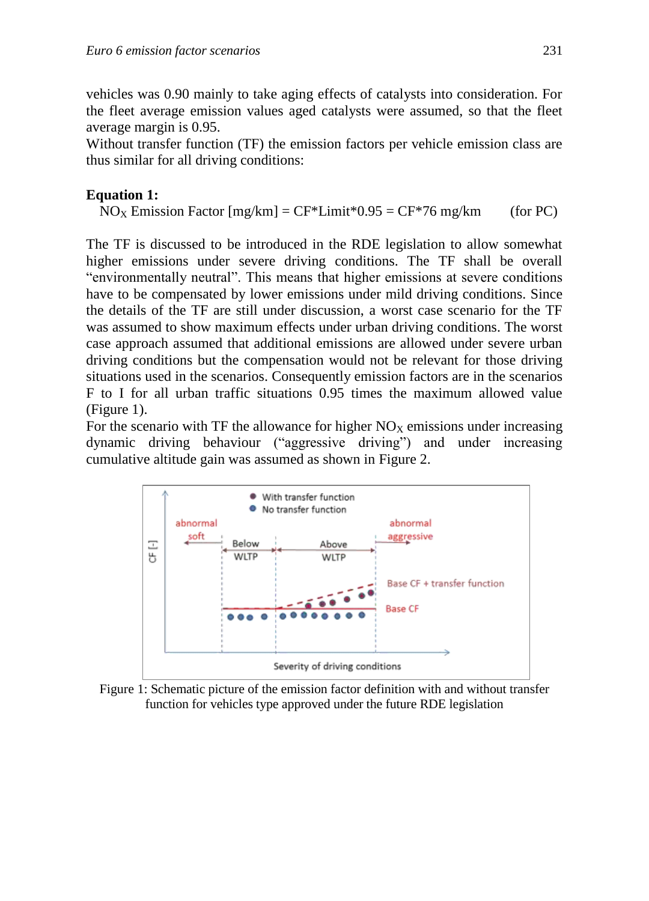vehicles was 0.90 mainly to take aging effects of catalysts into consideration. For the fleet average emission values aged catalysts were assumed, so that the fleet average margin is 0.95.

Without transfer function (TF) the emission factors per vehicle emission class are thus similar for all driving conditions:

## <span id="page-4-1"></span>**Equation 1:**

 $NO<sub>X</sub>$  Emission Factor [mg/km] = CF\*Limit\*0.95 = CF\*76 mg/km (for PC)

The TF is discussed to be introduced in the RDE legislation to allow somewhat higher emissions under severe driving conditions. The TF shall be overall "environmentally neutral". This means that higher emissions at severe conditions have to be compensated by lower emissions under mild driving conditions. Since the details of the TF are still under discussion, a worst case scenario for the TF was assumed to show maximum effects under urban driving conditions. The worst case approach assumed that additional emissions are allowed under severe urban driving conditions but the compensation would not be relevant for those driving situations used in the scenarios. Consequently emission factors are in the scenarios F to I for all urban traffic situations 0.95 times the maximum allowed value [\(Figure 1\)](#page-4-0).

For the scenario with TF the allowance for higher  $NO<sub>X</sub>$  emissions under increasing dynamic driving behaviour ("aggressive driving") and under increasing cumulative altitude gain was assumed as shown in [Figure 2.](#page-5-0)



<span id="page-4-0"></span>Figure 1: Schematic picture of the emission factor definition with and without transfer function for vehicles type approved under the future RDE legislation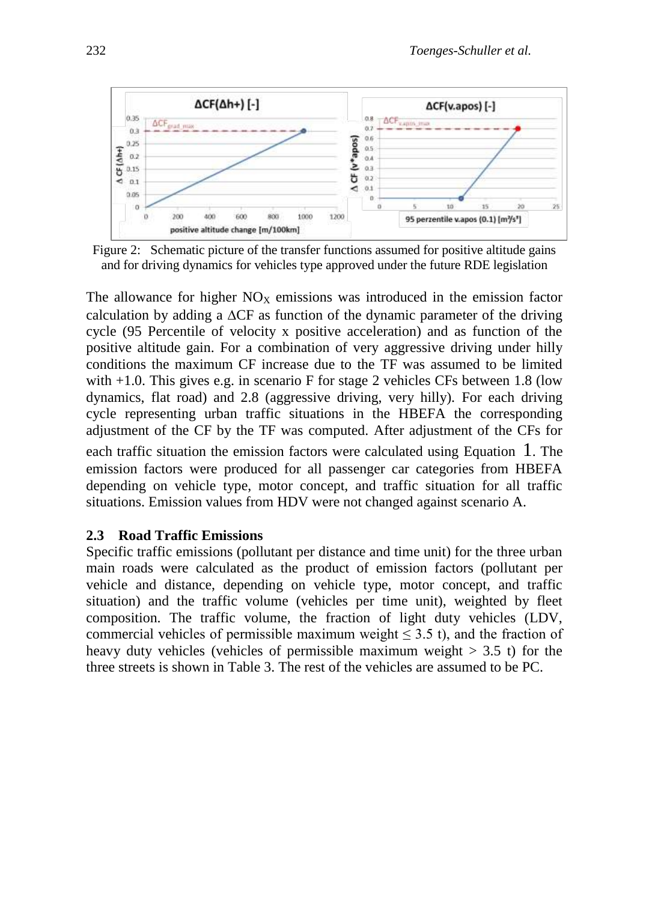

<span id="page-5-0"></span>Figure 2: Schematic picture of the transfer functions assumed for positive altitude gains and for driving dynamics for vehicles type approved under the future RDE legislation

The allowance for higher  $NO_X$  emissions was introduced in the emission factor calculation by adding a  $\Delta$ CF as function of the dynamic parameter of the driving cycle (95 Percentile of velocity x positive acceleration) and as function of the positive altitude gain. For a combination of very aggressive driving under hilly conditions the maximum CF increase due to the TF was assumed to be limited with  $+1.0$ . This gives e.g. in scenario F for stage 2 vehicles CFs between 1.8 (low dynamics, flat road) and 2.8 (aggressive driving, very hilly). For each driving cycle representing urban traffic situations in the HBEFA the corresponding adjustment of the CF by the TF was computed. After adjustment of the CFs for each traffic situation the emission factors were calculated using [Equation](#page-4-1) 1. The emission factors were produced for all passenger car categories from HBEFA depending on vehicle type, motor concept, and traffic situation for all traffic situations. Emission values from HDV were not changed against scenario A.

#### **2.3 Road Traffic Emissions**

Specific traffic emissions (pollutant per distance and time unit) for the three urban main roads were calculated as the product of emission factors (pollutant per vehicle and distance, depending on vehicle type, motor concept, and traffic situation) and the traffic volume (vehicles per time unit), weighted by fleet composition. The traffic volume, the fraction of light duty vehicles (LDV, commercial vehicles of permissible maximum weight  $\leq$  3.5 t), and the fraction of heavy duty vehicles (vehicles of permissible maximum weight  $> 3.5$  t) for the three streets is shown in Table 3. The rest of the vehicles are assumed to be PC.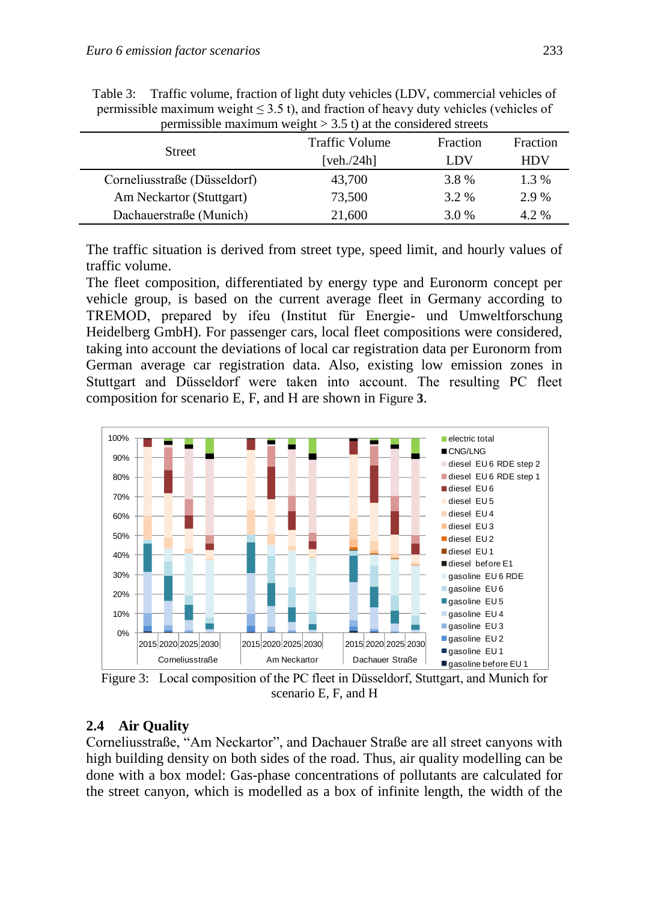| $\beta$ , and $\beta$ is a set of $\beta$ is a set of $\beta$ and $\beta$ is the considered streets |                |          |            |  |  |  |  |  |
|-----------------------------------------------------------------------------------------------------|----------------|----------|------------|--|--|--|--|--|
| <b>Street</b>                                                                                       | Traffic Volume | Fraction | Fraction   |  |  |  |  |  |
|                                                                                                     | [veh./24 $h$ ] | LDV      | <b>HDV</b> |  |  |  |  |  |
| Corneliusstraße (Düsseldorf)                                                                        | 43,700         | 3.8%     | 1.3 %      |  |  |  |  |  |
| Am Neckartor (Stuttgart)                                                                            | 73,500         | 3.2 %    | 2.9 %      |  |  |  |  |  |
| Dachauerstraße (Munich)                                                                             | 21,600         | 3.0 %    | 4.2 %      |  |  |  |  |  |

<span id="page-6-1"></span>Table 3: Traffic volume, fraction of light duty vehicles (LDV, commercial vehicles of permissible maximum weight  $\leq 3.5$  t), and fraction of heavy duty vehicles (vehicles of permissible maximum weight  $> 3.5$  t) at the considered streets

The traffic situation is derived from street type, speed limit, and hourly values of traffic volume.

The fleet composition, differentiated by energy type and Euronorm concept per vehicle group, is based on the current average fleet in Germany according to TREMOD, prepared by ifeu (Institut für Energie- und Umweltforschung Heidelberg GmbH). For passenger cars, local fleet compositions were considered, taking into account the deviations of local car registration data per Euronorm from German average car registration data. Also, existing low emission zones in Stuttgart and Düsseldorf were taken into account. The resulting PC fleet composition for scenario E, F, and H are shown in [Figure](#page-6-0) **3**.



<span id="page-6-0"></span>Figure 3: Local composition of the PC fleet in Düsseldorf, Stuttgart, and Munich for scenario E, F, and H

## **2.4 Air Quality**

Corneliusstraße, "Am Neckartor", and Dachauer Straße are all street canyons with high building density on both sides of the road. Thus, air quality modelling can be done with a box model: Gas-phase concentrations of pollutants are calculated for the street canyon, which is modelled as a box of infinite length, the width of the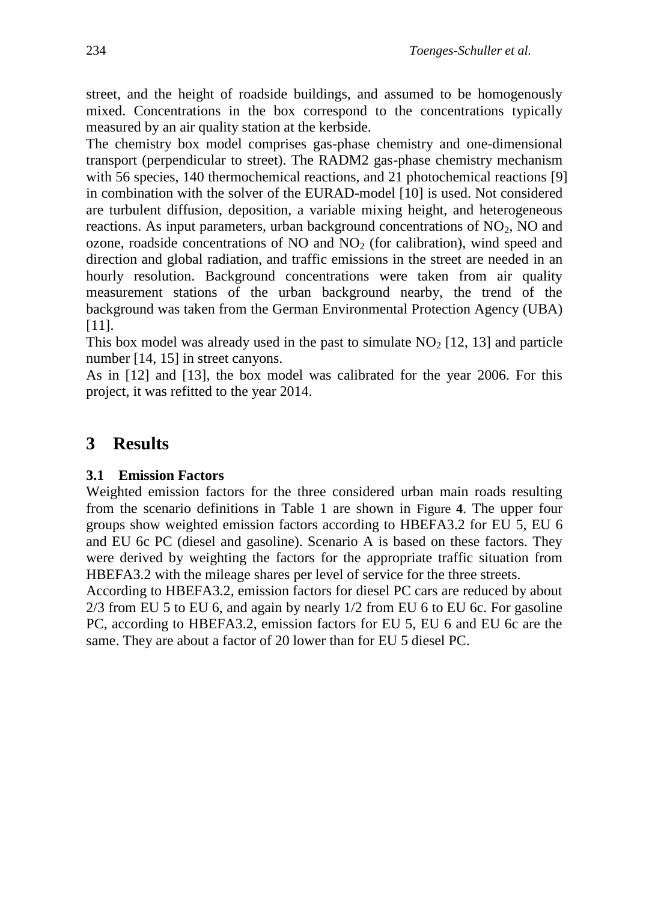street, and the height of roadside buildings, and assumed to be homogenously mixed. Concentrations in the box correspond to the concentrations typically measured by an air quality station at the kerbside.

The chemistry box model comprises gas-phase chemistry and one-dimensional transport (perpendicular to street). The RADM2 gas-phase chemistry mechanism with 56 species, 140 thermochemical reactions, and 21 photochemical reactions [9] in combination with the solver of the EURAD-model [10] is used. Not considered are turbulent diffusion, deposition, a variable mixing height, and heterogeneous reactions. As input parameters, urban background concentrations of  $NO<sub>2</sub>$ , NO and ozone, roadside concentrations of  $NO$  and  $NO<sub>2</sub>$  (for calibration), wind speed and direction and global radiation, and traffic emissions in the street are needed in an hourly resolution. Background concentrations were taken from air quality measurement stations of the urban background nearby, the trend of the background was taken from the German Environmental Protection Agency (UBA) [11].

This box model was already used in the past to simulate  $NO<sub>2</sub>$  [12, 13] and particle number [14, 15] in street canyons.

As in [12] and [13], the box model was calibrated for the year 2006. For this project, it was refitted to the year 2014.

## **3 Results**

### **3.1 Emission Factors**

Weighted emission factors for the three considered urban main roads resulting from the scenario definitions in [Table 1](#page-2-0) are shown in [Figure](#page-8-0) **4**. The upper four groups show weighted emission factors according to HBEFA3.2 for EU 5, EU 6 and EU 6c PC (diesel and gasoline). Scenario A is based on these factors. They were derived by weighting the factors for the appropriate traffic situation from HBEFA3.2 with the mileage shares per level of service for the three streets.

According to HBEFA3.2, emission factors for diesel PC cars are reduced by about 2/3 from EU 5 to EU 6, and again by nearly 1/2 from EU 6 to EU 6c. For gasoline PC, according to HBEFA3.2, emission factors for EU 5, EU 6 and EU 6c are the same. They are about a factor of 20 lower than for EU 5 diesel PC.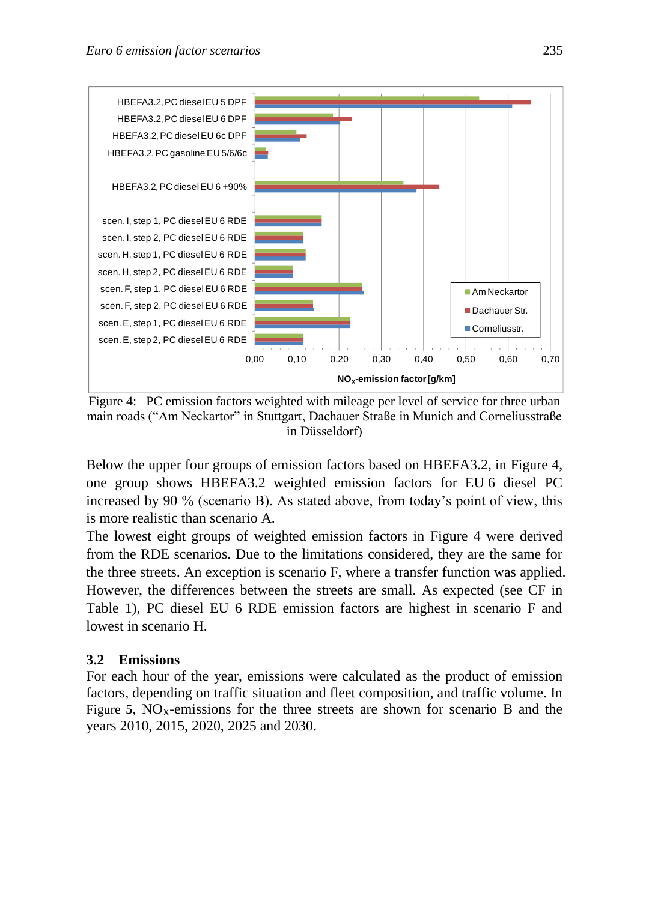

<span id="page-8-0"></span>Figure 4: PC emission factors weighted with mileage per level of service for three urban main roads ("Am Neckartor" in Stuttgart, Dachauer Straße in Munich and Corneliusstraße in Düsseldorf)

Below the upper four groups of emission factors based on HBEFA3.2, in [Figure 4,](#page-8-0) one group shows HBEFA3.2 weighted emission factors for EU 6 diesel PC increased by 90 % (scenario B). As stated above, from today's point of view, this is more realistic than scenario A.

The lowest eight groups of weighted emission factors in [Figure 4](#page-8-0) were derived from the RDE scenarios. Due to the limitations considered, they are the same for the three streets. An exception is scenario F, where a transfer function was applied. However, the differences between the streets are small. As expected (see CF in [Table 1\)](#page-2-0), PC diesel EU 6 RDE emission factors are highest in scenario F and lowest in scenario H.

### **3.2 Emissions**

For each hour of the year, emissions were calculated as the product of emission factors, depending on traffic situation and fleet composition, and traffic volume. In [Figure](#page-9-0) **5**, NO<sub>X</sub>-emissions for the three streets are shown for scenario B and the years 2010, 2015, 2020, 2025 and 2030.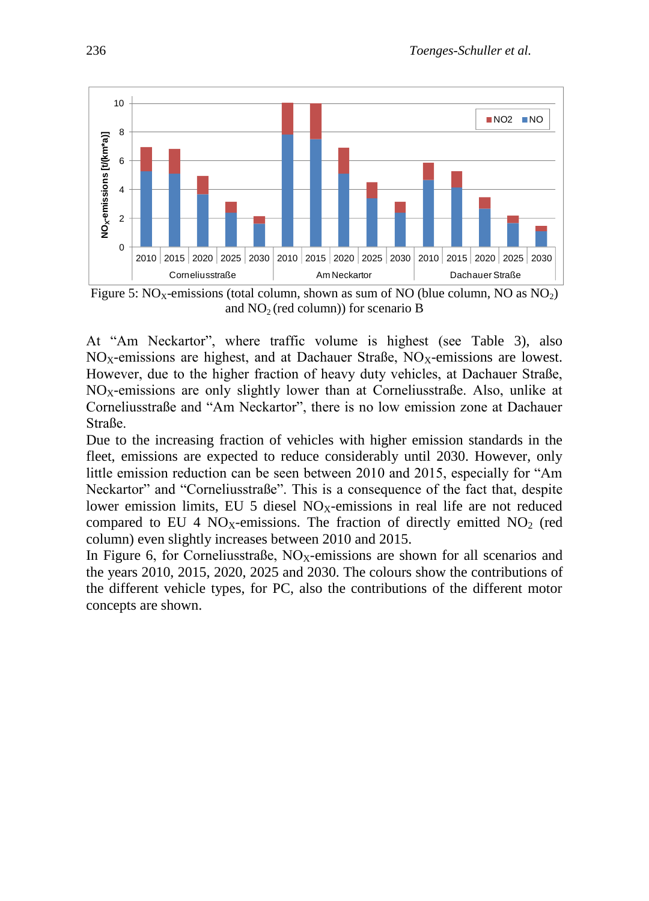

<span id="page-9-0"></span>Figure 5:  $NO<sub>X</sub>$ -emissions (total column, shown as sum of NO (blue column, NO as  $NO<sub>2</sub>$ ) and  $NO<sub>2</sub>$  (red column)) for scenario B

At "Am Neckartor", where traffic volume is highest (see [Table 3\)](#page-6-1), also  $NO<sub>X</sub>$ -emissions are highest, and at Dachauer Straße,  $NO<sub>X</sub>$ -emissions are lowest. However, due to the higher fraction of heavy duty vehicles, at Dachauer Straße,  $NO<sub>X</sub>$ -emissions are only slightly lower than at Corneliusstraße. Also, unlike at Corneliusstraße and "Am Neckartor", there is no low emission zone at Dachauer Straße.

Due to the increasing fraction of vehicles with higher emission standards in the fleet, emissions are expected to reduce considerably until 2030. However, only little emission reduction can be seen between 2010 and 2015, especially for "Am Neckartor" and "Corneliusstraße". This is a consequence of the fact that, despite lower emission limits, EU 5 diesel  $NO<sub>x</sub>$ -emissions in real life are not reduced compared to EU 4  $NO<sub>X</sub>$ -emissions. The fraction of directly emitted  $NO<sub>2</sub>$  (red column) even slightly increases between 2010 and 2015.

In [Figure 6,](#page-10-0) for Corneliusstraße,  $NO<sub>X</sub>$ -emissions are shown for all scenarios and the years 2010, 2015, 2020, 2025 and 2030. The colours show the contributions of the different vehicle types, for PC, also the contributions of the different motor concepts are shown.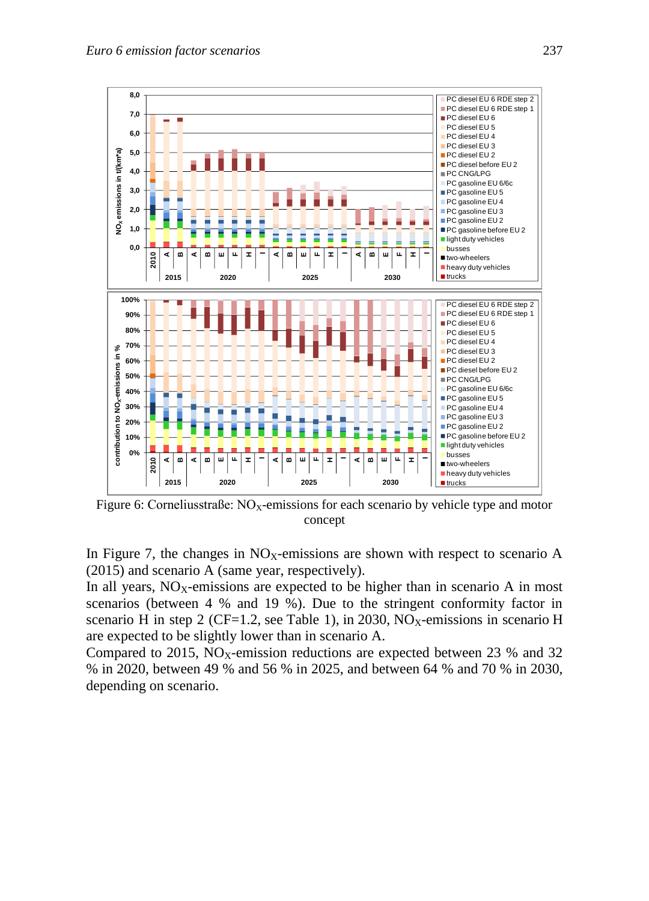

<span id="page-10-0"></span>Figure 6: Corneliusstraße:  $NO<sub>X</sub>$ -emissions for each scenario by vehicle type and motor concept

In [Figure 7,](#page-11-0) the changes in  $NO<sub>X</sub>$ -emissions are shown with respect to scenario A (2015) and scenario A (same year, respectively).

In all years,  $NO<sub>X</sub>$ -emissions are expected to be higher than in scenario A in most scenarios (between 4 % and 19 %). Due to the stringent conformity factor in scenario H in step 2 (CF=1.2, see [Table 1\)](#page-2-0), in 2030, NO<sub>X</sub>-emissions in scenario H are expected to be slightly lower than in scenario A.

Compared to 2015, NO<sub>X</sub>-emission reductions are expected between 23 % and 32 % in 2020, between 49 % and 56 % in 2025, and between 64 % and 70 % in 2030, depending on scenario.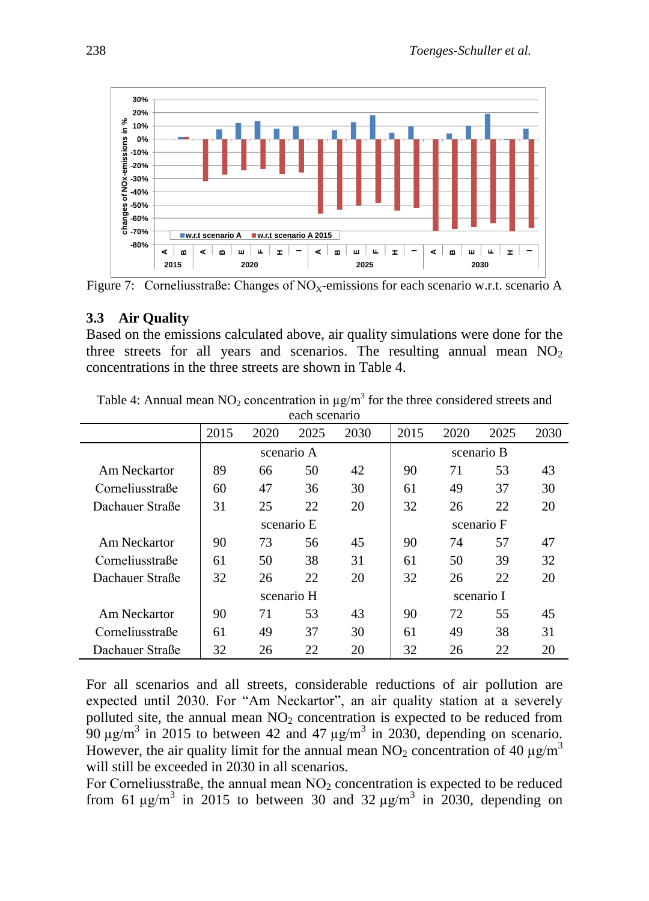

<span id="page-11-0"></span>Figure 7: Cornelius straße: Changes of  $NO<sub>X</sub>$ -emissions for each scenario w.r.t. scenario A

#### **3.3 Air Quality**

Based on the emissions calculated above, air quality simulations were done for the three streets for all years and scenarios. The resulting annual mean  $NO<sub>2</sub>$ concentrations in the three streets are shown in [Table 4.](#page-11-1)

| саси эсепано    |            |            |      |      |            |            |      |      |
|-----------------|------------|------------|------|------|------------|------------|------|------|
|                 | 2015       | 2020       | 2025 | 2030 | 2015       | 2020       | 2025 | 2030 |
|                 |            | scenario A |      |      | scenario B |            |      |      |
| Am Neckartor    | 89         | 66         | 50   | 42   | 90         | 71         | 53   | 43   |
| Corneliusstraße | 60         | 47         | 36   | 30   | 61         | 49         | 37   | 30   |
| Dachauer Straße | 31         | 25         | 22   | 20   | 32         | 26         | 22   | 20   |
|                 |            | scenario E |      |      | scenario F |            |      |      |
| Am Neckartor    | 90         | 73         | 56   | 45   | 90         | 74         | 57   | 47   |
| Corneliusstraße | 61         | 50         | 38   | 31   | 61         | 50         | 39   | 32   |
| Dachauer Straße | 32         | 26         | 22   | 20   | 32         | 26         | 22   | 20   |
|                 | scenario H |            |      |      |            | scenario I |      |      |
| Am Neckartor    | 90         | 71         | 53   | 43   | 90         | 72         | 55   | 45   |
| Corneliusstraße | 61         | 49         | 37   | 30   | 61         | 49         | 38   | 31   |
| Dachauer Straße | 32         | 26         | 22   | 20   | 32         | 26         | 22   | 20   |

<span id="page-11-1"></span>Table 4: Annual mean NO<sub>2</sub> concentration in  $\mu$ g/m<sup>3</sup> for the three considered streets and each scenario

For all scenarios and all streets, considerable reductions of air pollution are expected until 2030. For "Am Neckartor", an air quality station at a severely polluted site, the annual mean  $NO<sub>2</sub>$  concentration is expected to be reduced from  $90 \mu g/m^3$  in 2015 to between 42 and 47  $\mu g/m^3$  in 2030, depending on scenario. However, the air quality limit for the annual mean  $NO_2$  concentration of 40  $\mu$ g/m<sup>3</sup> will still be exceeded in 2030 in all scenarios.

For Corneliusstraße, the annual mean  $NO<sub>2</sub>$  concentration is expected to be reduced from 61  $\mu$ g/m<sup>3</sup> in 2015 to between 30 and 32  $\mu$ g/m<sup>3</sup> in 2030, depending on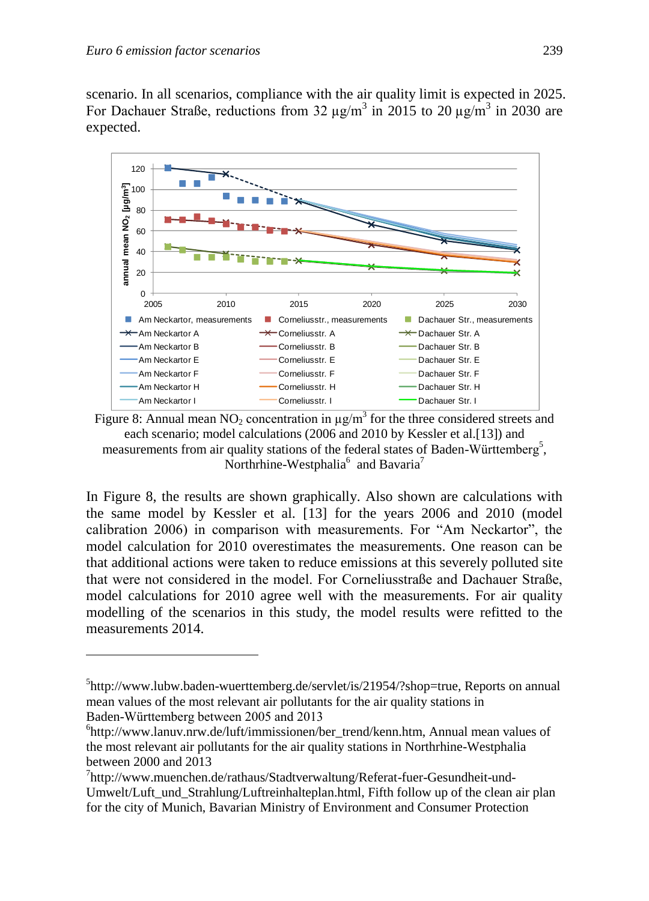1

scenario. In all scenarios, compliance with the air quality limit is expected in 2025. For Dachauer Straße, reductions from 32  $\mu$ g/m<sup>3</sup> in 2015 to 20  $\mu$ g/m<sup>3</sup> in 2030 are expected.



<span id="page-12-0"></span>Figure 8: Annual mean NO<sub>2</sub> concentration in  $\mu$ g/m<sup>3</sup> for the three considered streets and each scenario; model calculations (2006 and 2010 by Kessler et al.[13]) and measurements from air quality stations of the federal states of Baden-Württemberg<sup>5</sup>, Northrhine-Westphalia<sup>6</sup> and Bavaria<sup>7</sup>

In [Figure 8,](#page-12-0) the results are shown graphically. Also shown are calculations with the same model by Kessler et al. [13] for the years 2006 and 2010 (model calibration 2006) in comparison with measurements. For "Am Neckartor", the model calculation for 2010 overestimates the measurements. One reason can be that additional actions were taken to reduce emissions at this severely polluted site that were not considered in the model. For Corneliusstraße and Dachauer Straße, model calculations for 2010 agree well with the measurements. For air quality modelling of the scenarios in this study, the model results were refitted to the measurements 2014.

<sup>5</sup> http://www.lubw.baden-wuerttemberg.de/servlet/is/21954/?shop=true, Reports on annual mean values of the most relevant air pollutants for the air quality stations in Baden-Württemberg between 2005 and 2013

<sup>6</sup> http://www.lanuv.nrw.de/luft/immissionen/ber\_trend/kenn.htm, Annual mean values of the most relevant air pollutants for the air quality stations in Northrhine-Westphalia between 2000 and 2013

<sup>&</sup>lt;sup>7</sup>http://www.muenchen.de/rathaus/Stadtverwaltung/Referat-fuer-Gesundheit-und-Umwelt/Luft\_und\_Strahlung/Luftreinhalteplan.html, Fifth follow up of the clean air plan for the city of Munich, Bavarian Ministry of Environment and Consumer Protection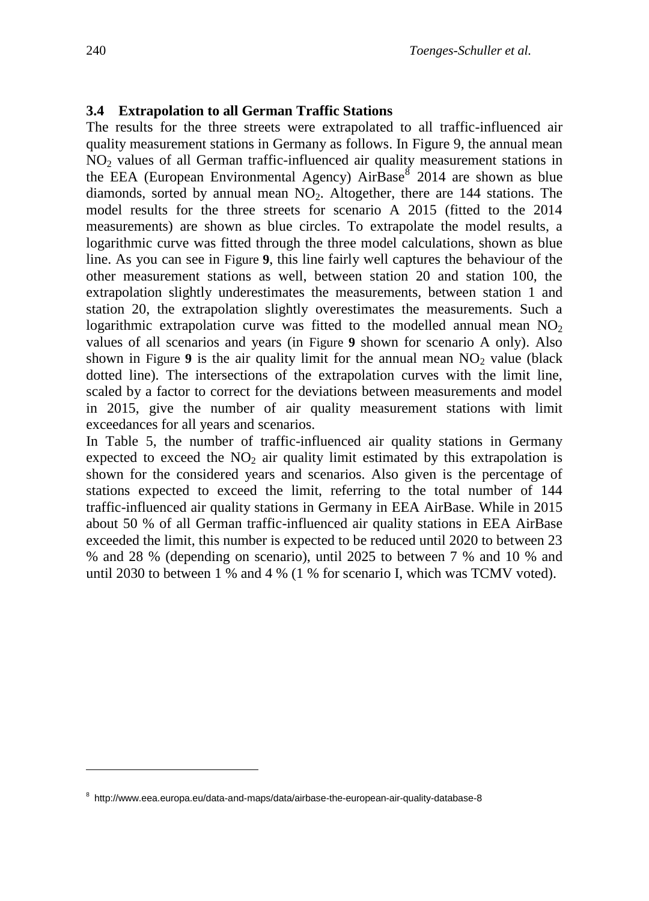#### **3.4 Extrapolation to all German Traffic Stations**

The results for the three streets were extrapolated to all traffic-influenced air quality measurement stations in Germany as follows. In [Figure 9,](#page-14-0) the annual mean NO<sup>2</sup> values of all German traffic-influenced air quality measurement stations in the EEA (European Environmental Agency)  $AirBase^8$  2014 are shown as blue diamonds, sorted by annual mean  $NO<sub>2</sub>$ . Altogether, there are 144 stations. The model results for the three streets for scenario A 2015 (fitted to the 2014 measurements) are shown as blue circles. To extrapolate the model results, a logarithmic curve was fitted through the three model calculations, shown as blue line. As you can see in [Figure](#page-14-0) **9**, this line fairly well captures the behaviour of the other measurement stations as well, between station 20 and station 100, the extrapolation slightly underestimates the measurements, between station 1 and station 20, the extrapolation slightly overestimates the measurements. Such a logarithmic extrapolation curve was fitted to the modelled annual mean  $NO<sub>2</sub>$ values of all scenarios and years (in [Figure](#page-14-0) **9** shown for scenario A only). Also shown in [Figure](#page-14-0) 9 is the air quality limit for the annual mean  $NO<sub>2</sub>$  value (black dotted line). The intersections of the extrapolation curves with the limit line, scaled by a factor to correct for the deviations between measurements and model in 2015, give the number of air quality measurement stations with limit exceedances for all years and scenarios.

In [Table 5,](#page-14-1) the number of traffic-influenced air quality stations in Germany expected to exceed the  $NO<sub>2</sub>$  air quality limit estimated by this extrapolation is shown for the considered years and scenarios. Also given is the percentage of stations expected to exceed the limit, referring to the total number of 144 traffic-influenced air quality stations in Germany in EEA AirBase. While in 2015 about 50 % of all German traffic-influenced air quality stations in EEA AirBase exceeded the limit, this number is expected to be reduced until 2020 to between 23 % and 28 % (depending on scenario), until 2025 to between 7 % and 10 % and until 2030 to between 1 % and 4 % (1 % for scenario I, which was TCMV voted).

1

<sup>8</sup> http://www.eea.europa.eu/data-and-maps/data/airbase-the-european-air-quality-database-8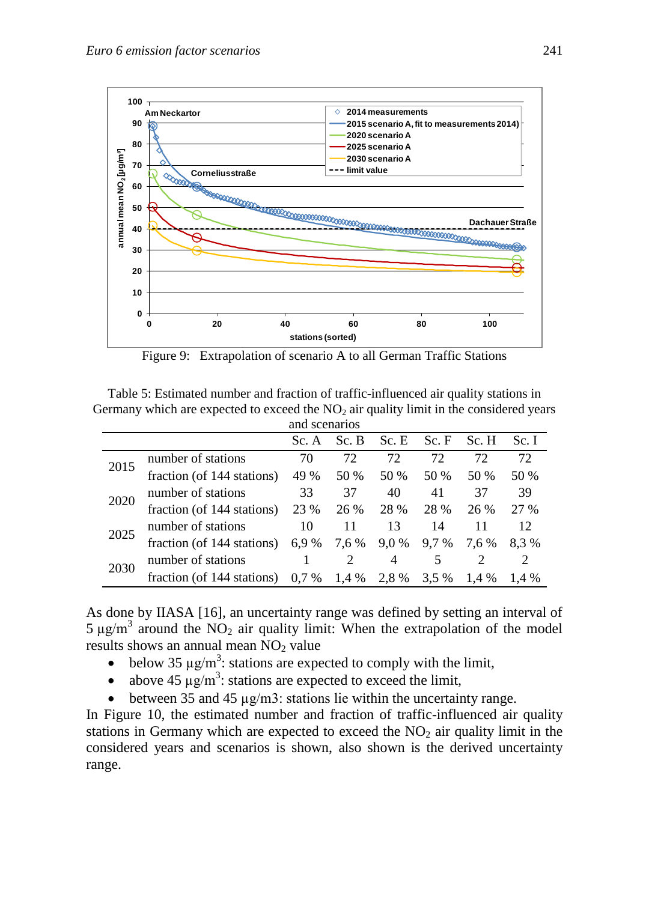

Figure 9: Extrapolation of scenario A to all German Traffic Stations

<span id="page-14-1"></span><span id="page-14-0"></span>Table 5: Estimated number and fraction of traffic-influenced air quality stations in Germany which are expected to exceed the  $NO<sub>2</sub>$  air quality limit in the considered years and scenarios

|      |                            | Sc. A   | Sc. B | Sc.E  | Sc. F | Sc. H | Sc. I |
|------|----------------------------|---------|-------|-------|-------|-------|-------|
| 2015 | number of stations         | 70      | 72    | 72    | 72.   | 72    | 72    |
|      | fraction (of 144 stations) | 49 %    | 50 %  | 50 %  | 50 %  | 50 %  | 50 %  |
| 2020 | number of stations         | 33      | 37    | 40    | 41    | 37    | 39    |
|      | fraction (of 144 stations) | 23 %    | 26 %  | 28 %  | 28 %  | 26 %  | 27 %  |
| 2025 | number of stations         | 10      | 11    | 13    | 14    | 11    | 12.   |
|      | fraction (of 144 stations) | 6,9 %   | 7,6 % | 9,0 % | 9.7 % | 7.6 % | 8.3%  |
| 2030 | number of stations         |         |       | 4     |       |       |       |
|      | fraction (of 144 stations) | $0.7\%$ | 1.4 % | 2.8%  | 3,5 % | 1.4 % | 1.4 % |

As done by IIASA [16], an uncertainty range was defined by setting an interval of  $5 \mu g/m^3$  around the NO<sub>2</sub> air quality limit: When the extrapolation of the model results shows an annual mean NO<sub>2</sub> value

- below 35  $\mu$ g/m<sup>3</sup>: stations are expected to comply with the limit,
- above 45  $\mu$ g/m<sup>3</sup>: stations are expected to exceed the limit,
- between 35 and 45 µg/m3: stations lie within the uncertainty range.

In [Figure 10,](#page-15-0) the estimated number and fraction of traffic-influenced air quality stations in Germany which are expected to exceed the  $NO<sub>2</sub>$  air quality limit in the considered years and scenarios is shown, also shown is the derived uncertainty range.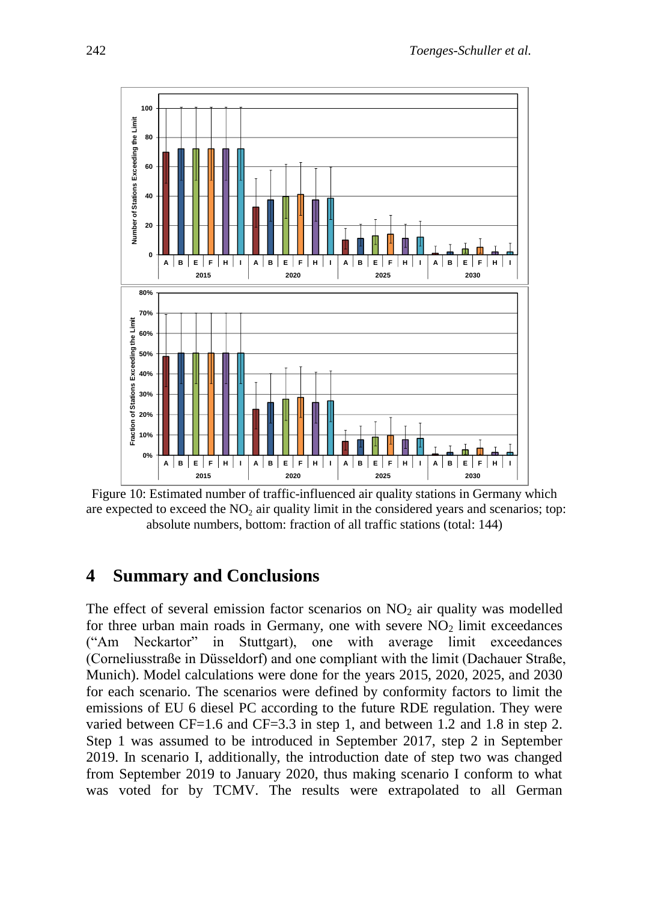

<span id="page-15-0"></span>Figure 10: Estimated number of traffic-influenced air quality stations in Germany which are expected to exceed the  $NO<sub>2</sub>$  air quality limit in the considered years and scenarios; top: absolute numbers, bottom: fraction of all traffic stations (total: 144)

## **4 Summary and Conclusions**

The effect of several emission factor scenarios on  $NO<sub>2</sub>$  air quality was modelled for three urban main roads in Germany, one with severe  $NO<sub>2</sub>$  limit exceedances ("Am Neckartor" in Stuttgart), one with average limit exceedances (Corneliusstraße in Düsseldorf) and one compliant with the limit (Dachauer Straße, Munich). Model calculations were done for the years 2015, 2020, 2025, and 2030 for each scenario. The scenarios were defined by conformity factors to limit the emissions of EU 6 diesel PC according to the future RDE regulation. They were varied between CF=1.6 and CF=3.3 in step 1, and between 1.2 and 1.8 in step 2. Step 1 was assumed to be introduced in September 2017, step 2 in September 2019. In scenario I, additionally, the introduction date of step two was changed from September 2019 to January 2020, thus making scenario I conform to what was voted for by TCMV. The results were extrapolated to all German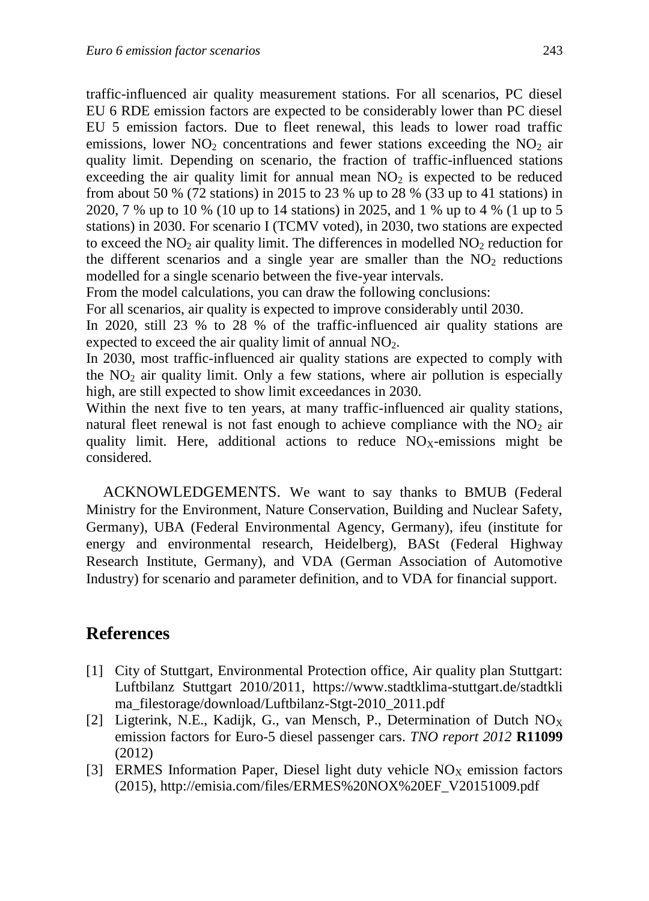traffic-influenced air quality measurement stations. For all scenarios, PC diesel EU 6 RDE emission factors are expected to be considerably lower than PC diesel EU 5 emission factors. Due to fleet renewal, this leads to lower road traffic emissions, lower  $NO<sub>2</sub>$  concentrations and fewer stations exceeding the  $NO<sub>2</sub>$  air quality limit. Depending on scenario, the fraction of traffic-influenced stations exceeding the air quality limit for annual mean  $NO<sub>2</sub>$  is expected to be reduced from about 50 % (72 stations) in 2015 to 23 % up to 28 % (33 up to 41 stations) in 2020, 7 % up to 10 % (10 up to 14 stations) in 2025, and 1 % up to 4 % (1 up to 5 stations) in 2030. For scenario I (TCMV voted), in 2030, two stations are expected to exceed the  $NO<sub>2</sub>$  air quality limit. The differences in modelled  $NO<sub>2</sub>$  reduction for the different scenarios and a single year are smaller than the  $NO<sub>2</sub>$  reductions modelled for a single scenario between the five-year intervals.

From the model calculations, you can draw the following conclusions:

For all scenarios, air quality is expected to improve considerably until 2030.

In 2020, still 23 % to 28 % of the traffic-influenced air quality stations are expected to exceed the air quality limit of annual  $NO<sub>2</sub>$ .

In 2030, most traffic-influenced air quality stations are expected to comply with the  $NO<sub>2</sub>$  air quality limit. Only a few stations, where air pollution is especially high, are still expected to show limit exceedances in 2030.

Within the next five to ten years, at many traffic-influenced air quality stations, natural fleet renewal is not fast enough to achieve compliance with the  $NO<sub>2</sub>$  air quality limit. Here, additional actions to reduce  $NO<sub>X</sub>$ -emissions might be considered.

ACKNOWLEDGEMENTS. We want to say thanks to BMUB (Federal Ministry for the Environment, Nature Conservation, Building and Nuclear Safety, Germany), UBA (Federal Environmental Agency, Germany), ifeu (institute for energy and environmental research, Heidelberg), BASt (Federal Highway Research Institute, Germany), and VDA (German Association of Automotive Industry) for scenario and parameter definition, and to VDA for financial support.

## **References**

- [1] City of Stuttgart, Environmental Protection office, Air quality plan Stuttgart: Luftbilanz Stuttgart 2010/2011, https://www.stadtklima-stuttgart.de/stadtkli ma\_filestorage/download/Luftbilanz-Stgt-2010\_2011.pdf
- [2] Ligterink, N.E., Kadijk, G., van Mensch, P., Determination of Dutch  $NO_X$ emission factors for Euro-5 diesel passenger cars. *TNO report 2012* **R11099** (2012)
- [3] ERMES Information Paper, Diesel light duty vehicle  $NO<sub>X</sub>$  emission factors (2015), http://emisia.com/files/ERMES%20NOX%20EF\_V20151009.pdf